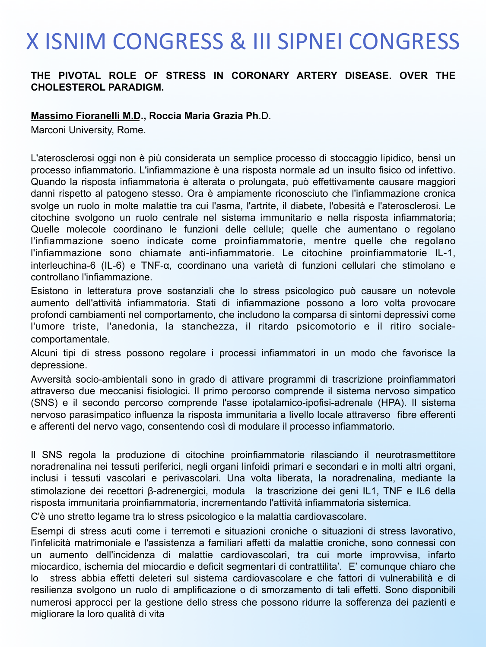# **X ISNIM CONGRESS & III SIPNEI CONGRESS**

### **THE PIVOTAL ROLE OF STRESS IN CORONARY ARTERY DISEASE. OVER THE CHOLESTEROL PARADIGM.**

#### **Massimo Fioranelli M.D., Roccia Maria Grazia Ph**.D.

Marconi University, Rome.

L'aterosclerosi oggi non è più considerata un semplice processo di stoccaggio lipidico, bensì un processo infiammatorio. L'infiammazione è una risposta normale ad un insulto fisico od infettivo. Quando la risposta infiammatoria è alterata o prolungata, può effettivamente causare maggiori danni rispetto al patogeno stesso. Ora è ampiamente riconosciuto che l'infiammazione cronica svolge un ruolo in molte malattie tra cui l'asma, l'artrite, il diabete, l'obesità e l'aterosclerosi. Le citochine svolgono un ruolo centrale nel sistema immunitario e nella risposta infiammatoria; Quelle molecole coordinano le funzioni delle cellule; quelle che aumentano o regolano l'infiammazione soeno indicate come proinfiammatorie, mentre quelle che regolano l'infiammazione sono chiamate anti-infiammatorie. Le citochine proinfiammatorie IL-1, interleuchina-6 (IL-6) e TNF-α, coordinano una varietà di funzioni cellulari che stimolano e controllano l'infiammazione.

Esistono in letteratura prove sostanziali che lo stress psicologico può causare un notevole aumento dell'attività infiammatoria. Stati di infiammazione possono a loro volta provocare profondi cambiamenti nel comportamento, che includono la comparsa di sintomi depressivi come l'umore triste, l'anedonia, la stanchezza, il ritardo psicomotorio e il ritiro socialecomportamentale.

Alcuni tipi di stress possono regolare i processi infiammatori in un modo che favorisce la depressione.

Avversità socio-ambientali sono in grado di attivare programmi di trascrizione proinfiammatori attraverso due meccanisi fisiologici. Il primo percorso comprende il sistema nervoso simpatico (SNS) e il secondo percorso comprende l'asse ipotalamico-ipofisi-adrenale (HPA). Il sistema nervoso parasimpatico influenza la risposta immunitaria a livello locale attraverso fibre efferenti e afferenti del nervo vago, consentendo così di modulare il processo infiammatorio.

Il SNS regola la produzione di citochine proinfiammatorie rilasciando il neurotrasmettitore noradrenalina nei tessuti periferici, negli organi linfoidi primari e secondari e in molti altri organi, inclusi i tessuti vascolari e perivascolari. Una volta liberata, la noradrenalina, mediante la stimolazione dei recettori β-adrenergici, modula la trascrizione dei geni IL1, TNF e IL6 della risposta immunitaria proinfiammatoria, incrementando l'attività infiammatoria sistemica.

C'è uno stretto legame tra lo stress psicologico e la malattia cardiovascolare.

Esempi di stress acuti come i terremoti e situazioni croniche o situazioni di stress lavorativo, l'infelicità matrimoniale e l'assistenza a familiari affetti da malattie croniche, sono connessi con un aumento dell'incidenza di malattie cardiovascolari, tra cui morte improvvisa, infarto miocardico, ischemia del miocardio e deficit segmentari di contrattilita'. E' comunque chiaro che lo stress abbia effetti deleteri sul sistema cardiovascolare e che fattori di vulnerabilità e di resilienza svolgono un ruolo di amplificazione o di smorzamento di tali effetti. Sono disponibili numerosi approcci per la gestione dello stress che possono ridurre la sofferenza dei pazienti e migliorare la loro qualità di vita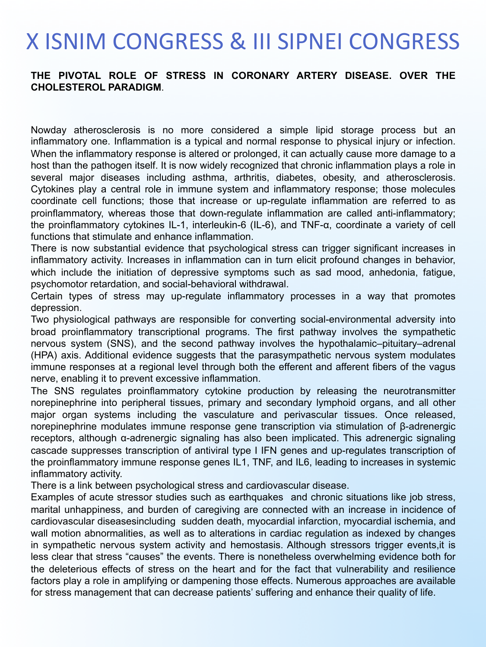# **X ISNIM CONGRESS & III SIPNEI CONGRESS**

#### **THE PIVOTAL ROLE OF STRESS IN CORONARY ARTERY DISEASE. OVER THE CHOLESTEROL PARADIGM**.

Nowday atherosclerosis is no more considered a simple lipid storage process but an inflammatory one. Inflammation is a typical and normal response to physical injury or infection. When the inflammatory response is altered or prolonged, it can actually cause more damage to a host than the pathogen itself. It is now widely recognized that chronic inflammation plays a role in several major diseases including asthma, arthritis, diabetes, obesity, and atherosclerosis. Cytokines play a central role in immune system and inflammatory response; those molecules coordinate cell functions; those that increase or up-regulate inflammation are referred to as proinflammatory, whereas those that down-regulate inflammation are called anti-inflammatory; the proinflammatory cytokines IL-1, interleukin-6 (IL-6), and TNF-α, coordinate a variety of cell functions that stimulate and enhance inflammation.

There is now substantial evidence that psychological stress can trigger significant increases in inflammatory activity. Increases in inflammation can in turn elicit profound changes in behavior, which include the initiation of depressive symptoms such as sad mood, anhedonia, fatigue, psychomotor retardation, and social-behavioral withdrawal.

Certain types of stress may up-regulate inflammatory processes in a way that promotes depression.

Two physiological pathways are responsible for converting social-environmental adversity into broad proinflammatory transcriptional programs. The first pathway involves the sympathetic nervous system (SNS), and the second pathway involves the hypothalamic–pituitary–adrenal (HPA) axis. Additional evidence suggests that the parasympathetic nervous system modulates immune responses at a regional level through both the efferent and afferent fibers of the vagus nerve, enabling it to prevent excessive inflammation.

The SNS regulates proinflammatory cytokine production by releasing the neurotransmitter norepinephrine into peripheral tissues, primary and secondary lymphoid organs, and all other major organ systems including the vasculature and perivascular tissues. Once released, norepinephrine modulates immune response gene transcription via stimulation of β-adrenergic receptors, although α-adrenergic signaling has also been implicated. This adrenergic signaling cascade suppresses transcription of antiviral type I IFN genes and up-regulates transcription of the proinflammatory immune response genes IL1, TNF, and IL6, leading to increases in systemic inflammatory activity.

There is a link between psychological stress and cardiovascular disease.

Examples of acute stressor studies such as earthquakes and chronic situations like job stress, marital unhappiness, and burden of caregiving are connected with an increase in incidence of cardiovascular diseasesincluding sudden death, myocardial infarction, myocardial ischemia, and wall motion abnormalities, as well as to alterations in cardiac regulation as indexed by changes in sympathetic nervous system activity and hemostasis. Although stressors trigger events,it is less clear that stress "causes" the events. There is nonetheless overwhelming evidence both for the deleterious effects of stress on the heart and for the fact that vulnerability and resilience factors play a role in amplifying or dampening those effects. Numerous approaches are available for stress management that can decrease patients' suffering and enhance their quality of life.